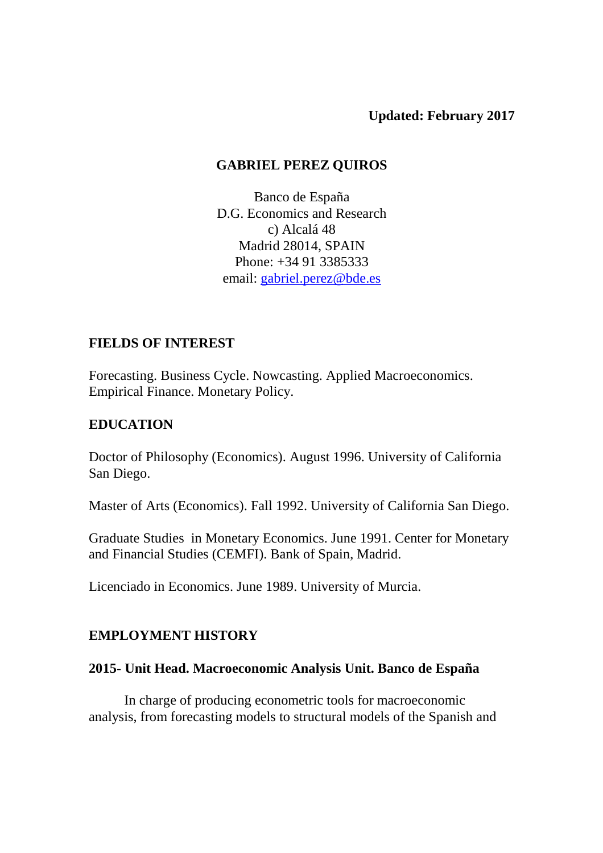**Updated: February 2017** 

### **GABRIEL PEREZ QUIROS**

Banco de España D.G. Economics and Research c) Alcalá 48 Madrid 28014, SPAIN Phone: +34 91 3385333 email: gabriel.perez@bde.es

### **FIELDS OF INTEREST**

Forecasting. Business Cycle. Nowcasting. Applied Macroeconomics. Empirical Finance. Monetary Policy.

## **EDUCATION**

Doctor of Philosophy (Economics). August 1996. University of California San Diego.

Master of Arts (Economics). Fall 1992. University of California San Diego.

Graduate Studies in Monetary Economics. June 1991. Center for Monetary and Financial Studies (CEMFI). Bank of Spain, Madrid.

Licenciado in Economics. June 1989. University of Murcia.

## **EMPLOYMENT HISTORY**

### **2015- Unit Head. Macroeconomic Analysis Unit. Banco de España**

 In charge of producing econometric tools for macroeconomic analysis, from forecasting models to structural models of the Spanish and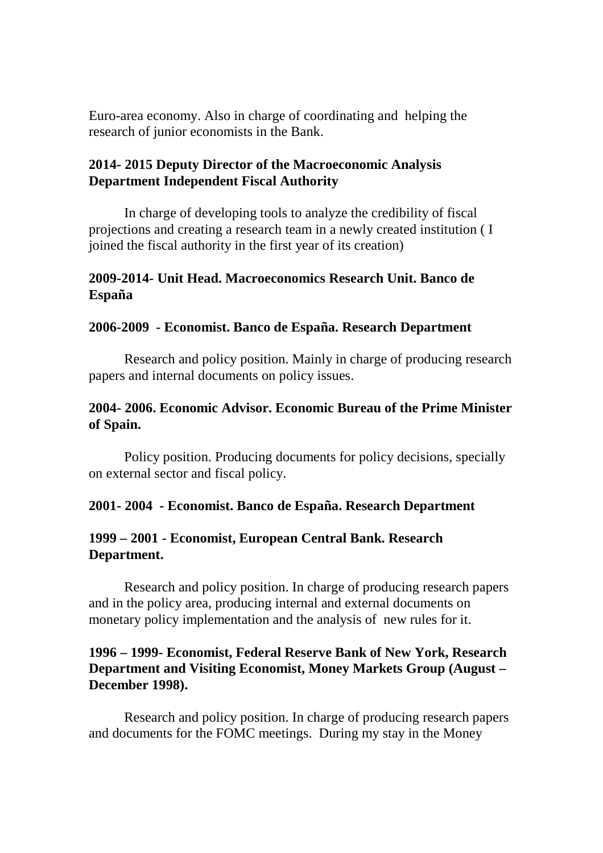Euro-area economy. Also in charge of coordinating and helping the research of junior economists in the Bank.

#### **2014- 2015 Deputy Director of the Macroeconomic Analysis Department Independent Fiscal Authority**

 In charge of developing tools to analyze the credibility of fiscal projections and creating a research team in a newly created institution ( I joined the fiscal authority in the first year of its creation)

### **2009-2014- Unit Head. Macroeconomics Research Unit. Banco de España**

#### **2006-2009 - Economist. Banco de España. Research Department**

 Research and policy position. Mainly in charge of producing research papers and internal documents on policy issues.

#### **2004- 2006. Economic Advisor. Economic Bureau of the Prime Minister of Spain.**

Policy position. Producing documents for policy decisions, specially on external sector and fiscal policy.

#### **2001- 2004 - Economist. Banco de España. Research Department**

#### **1999 – 2001 - Economist, European Central Bank. Research Department.**

 Research and policy position. In charge of producing research papers and in the policy area, producing internal and external documents on monetary policy implementation and the analysis of new rules for it.

#### **1996 – 1999- Economist, Federal Reserve Bank of New York, Research Department and Visiting Economist, Money Markets Group (August – December 1998).**

 Research and policy position. In charge of producing research papers and documents for the FOMC meetings. During my stay in the Money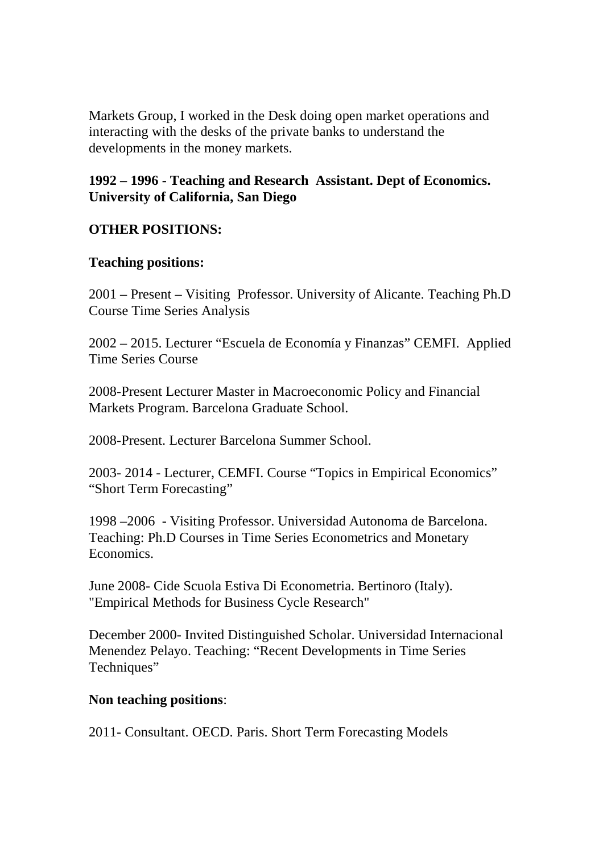Markets Group, I worked in the Desk doing open market operations and interacting with the desks of the private banks to understand the developments in the money markets.

**1992 – 1996 - Teaching and Research Assistant. Dept of Economics. University of California, San Diego** 

### **OTHER POSITIONS:**

#### **Teaching positions:**

2001 – Present – Visiting Professor. University of Alicante. Teaching Ph.D Course Time Series Analysis

2002 – 2015. Lecturer "Escuela de Economía y Finanzas" CEMFI. Applied Time Series Course

2008-Present Lecturer Master in Macroeconomic Policy and Financial Markets Program. Barcelona Graduate School.

2008-Present. Lecturer Barcelona Summer School.

2003- 2014 - Lecturer, CEMFI. Course "Topics in Empirical Economics" "Short Term Forecasting"

1998 –2006 - Visiting Professor. Universidad Autonoma de Barcelona. Teaching: Ph.D Courses in Time Series Econometrics and Monetary Economics.

June 2008- Cide Scuola Estiva Di Econometria. Bertinoro (Italy). "Empirical Methods for Business Cycle Research"

December 2000- Invited Distinguished Scholar. Universidad Internacional Menendez Pelayo. Teaching: "Recent Developments in Time Series Techniques"

#### **Non teaching positions**:

2011- Consultant. OECD. Paris. Short Term Forecasting Models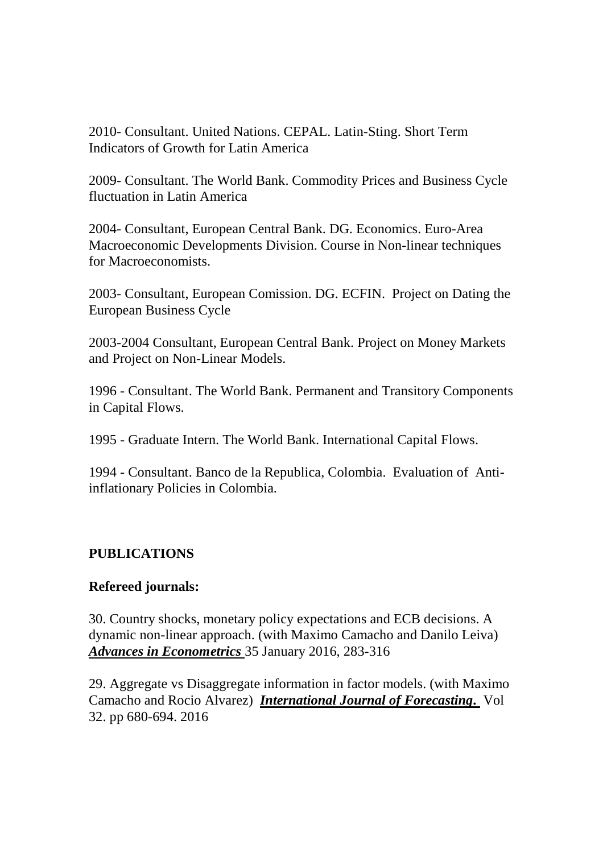2010- Consultant. United Nations. CEPAL. Latin-Sting. Short Term Indicators of Growth for Latin America

2009- Consultant. The World Bank. Commodity Prices and Business Cycle fluctuation in Latin America

2004- Consultant, European Central Bank. DG. Economics. Euro-Area Macroeconomic Developments Division. Course in Non-linear techniques for Macroeconomists.

2003- Consultant, European Comission. DG. ECFIN. Project on Dating the European Business Cycle

2003-2004 Consultant, European Central Bank. Project on Money Markets and Project on Non-Linear Models.

1996 - Consultant. The World Bank. Permanent and Transitory Components in Capital Flows.

1995 - Graduate Intern. The World Bank. International Capital Flows.

1994 - Consultant. Banco de la Republica, Colombia. Evaluation of Antiinflationary Policies in Colombia.

## **PUBLICATIONS**

### **Refereed journals:**

30. Country shocks, monetary policy expectations and ECB decisions. A dynamic non-linear approach. (with Maximo Camacho and Danilo Leiva) *Advances in Econometrics* 35 January 2016, 283-316

29. Aggregate vs Disaggregate information in factor models. (with Maximo Camacho and Rocio Alvarez) *International Journal of Forecasting***.** Vol 32. pp 680-694. 2016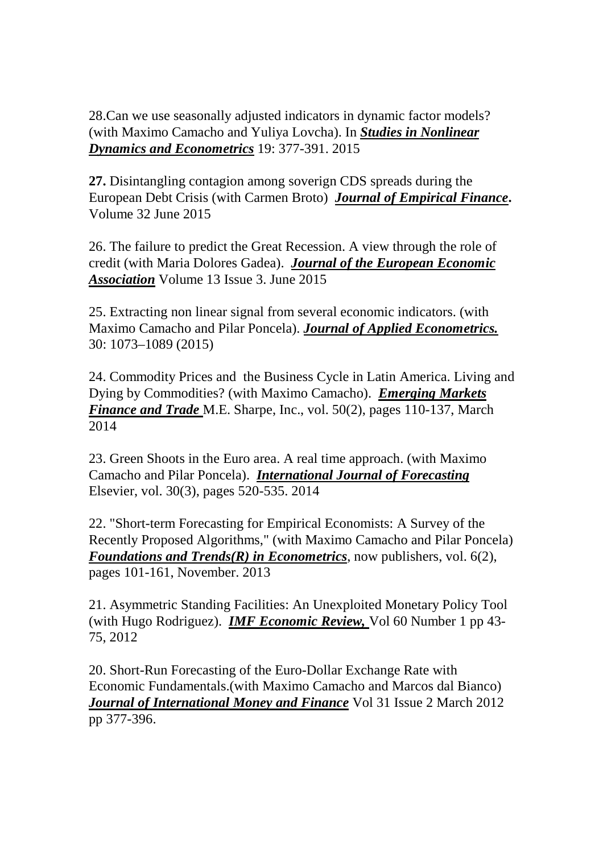28.Can we use seasonally adjusted indicators in dynamic factor models? (with Maximo Camacho and Yuliya Lovcha). In *Studies in Nonlinear Dynamics and Econometrics* 19: 377-391. 2015

**27.** Disintangling contagion among soverign CDS spreads during the European Debt Crisis (with Carmen Broto) *Journal of Empirical Finance***.**  Volume 32 June 2015

26. The failure to predict the Great Recession. A view through the role of credit (with Maria Dolores Gadea). *Journal of the European Economic Association* Volume 13 Issue 3. June 2015

25. Extracting non linear signal from several economic indicators. (with Maximo Camacho and Pilar Poncela). *Journal of Applied Econometrics.* 30: 1073–1089 (2015)

24. Commodity Prices and the Business Cycle in Latin America. Living and Dying by Commodities? (with Maximo Camacho). *Emerging Markets Finance and Trade* M.E. Sharpe, Inc., vol. 50(2), pages 110-137, March 2014

23. Green Shoots in the Euro area. A real time approach. (with Maximo Camacho and Pilar Poncela). *International Journal of Forecasting* Elsevier, vol. 30(3), pages 520-535. 2014

22. "Short-term Forecasting for Empirical Economists: A Survey of the Recently Proposed Algorithms," (with Maximo Camacho and Pilar Poncela) *Foundations and Trends(R) in Econometrics*, now publishers, vol. 6(2), pages 101-161, November. 2013

21. Asymmetric Standing Facilities: An Unexploited Monetary Policy Tool (with Hugo Rodriguez). *IMF Economic Review,* Vol 60 Number 1 pp 43- 75, 2012

20. Short-Run Forecasting of the Euro-Dollar Exchange Rate with Economic Fundamentals.(with Maximo Camacho and Marcos dal Bianco) *Journal of International Money and Finance* Vol 31 Issue 2 March 2012 pp 377-396.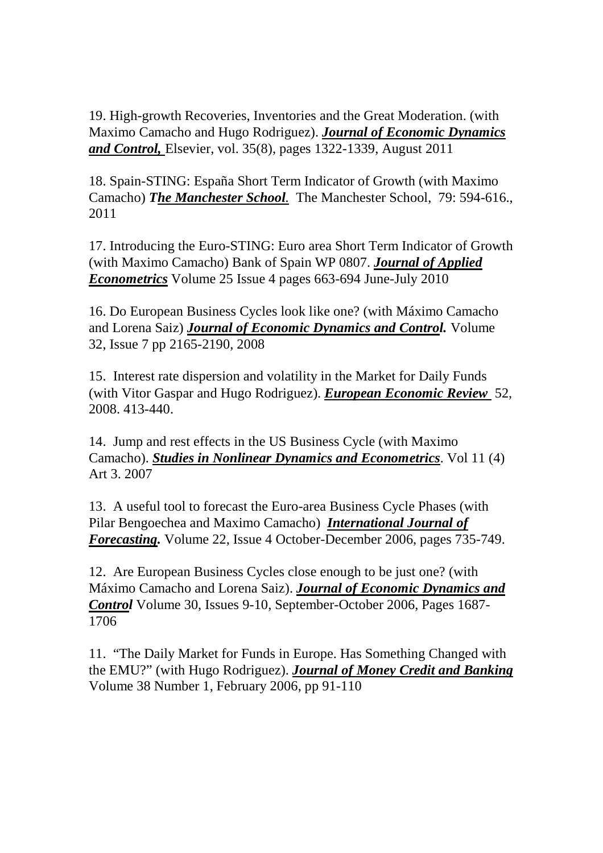19. High-growth Recoveries, Inventories and the Great Moderation. (with Maximo Camacho and Hugo Rodriguez). *Journal of Economic Dynamics and Control,* Elsevier, vol. 35(8), pages 1322-1339, August 2011

18. Spain-STING: España Short Term Indicator of Growth (with Maximo Camacho) *The Manchester School.* The Manchester School, 79: 594-616., 2011

17. Introducing the Euro-STING: Euro area Short Term Indicator of Growth (with Maximo Camacho) Bank of Spain WP 0807. *Journal of Applied Econometrics* Volume 25 Issue 4 pages 663-694 June-July 2010

16. Do European Business Cycles look like one? (with Máximo Camacho and Lorena Saiz) *Journal of Economic Dynamics and Control.* Volume 32, Issue 7 pp 2165-2190, 2008

15. Interest rate dispersion and volatility in the Market for Daily Funds (with Vitor Gaspar and Hugo Rodriguez). *European Economic Review* 52, 2008. 413-440.

14. Jump and rest effects in the US Business Cycle (with Maximo Camacho). *Studies in Nonlinear Dynamics and Econometrics*. Vol 11 (4) Art 3. 2007

13. A useful tool to forecast the Euro-area Business Cycle Phases (with Pilar Bengoechea and Maximo Camacho) *International Journal of Forecasting.* Volume 22, Issue 4 October-December 2006, pages 735-749.

12. Are European Business Cycles close enough to be just one? (with Máximo Camacho and Lorena Saiz). *Journal of Economic Dynamics and Control* Volume 30, Issues 9-10, September-October 2006, Pages 1687- 1706

11. "The Daily Market for Funds in Europe. Has Something Changed with the EMU?" (with Hugo Rodriguez). *Journal of Money Credit and Banking* Volume 38 Number 1, February 2006, pp 91-110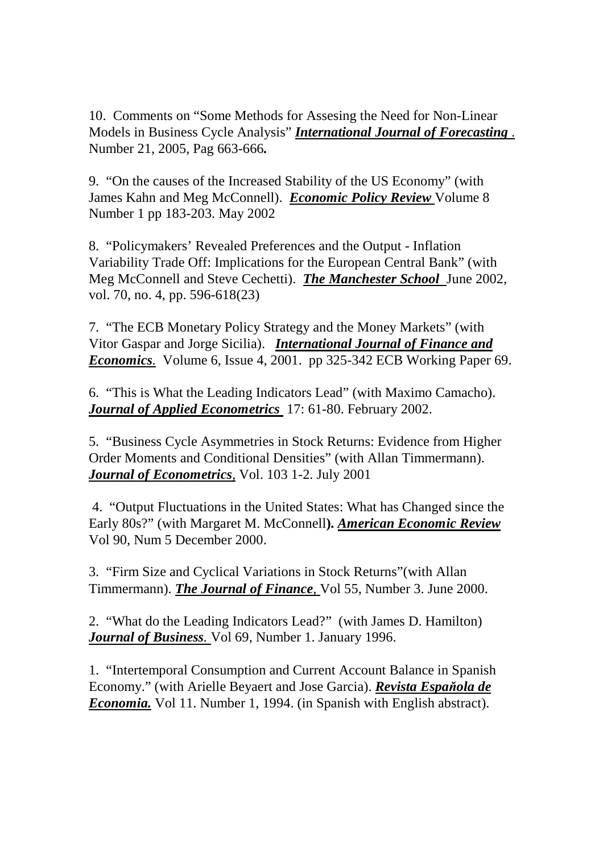10. Comments on "Some Methods for Assesing the Need for Non-Linear Models in Business Cycle Analysis" *International Journal of Forecasting* . Number 21, 2005, Pag 663-666*.*

9. "On the causes of the Increased Stability of the US Economy" (with James Kahn and Meg McConnell). *Economic Policy Review* Volume 8 Number 1 pp 183-203. May 2002

8. "Policymakers' Revealed Preferences and the Output - Inflation Variability Trade Off: Implications for the European Central Bank" (with Meg McConnell and Steve Cechetti). *The Manchester School* June 2002, vol. 70, no. 4, pp. 596-618(23)

7. "The ECB Monetary Policy Strategy and the Money Markets" (with Vitor Gaspar and Jorge Sicilia). *International Journal of Finance and Economics.* Volume 6, Issue 4, 2001. pp 325-342 ECB Working Paper 69.

6. "This is What the Leading Indicators Lead" (with Maximo Camacho). *Journal of Applied Econometrics* 17: 61-80. February 2002.

5. "Business Cycle Asymmetries in Stock Returns: Evidence from Higher Order Moments and Conditional Densities" (with Allan Timmermann). *Journal of Econometrics,* Vol. 103 1-2. July 2001

 4. "Output Fluctuations in the United States: What has Changed since the Early 80s?" (with Margaret M. McConnell**).** *American Economic Review* Vol 90, Num 5 December 2000.

3. "Firm Size and Cyclical Variations in Stock Returns"(with Allan Timmermann). *The Journal of Finance,* Vol 55, Number 3. June 2000.

2. "What do the Leading Indicators Lead?" (with James D. Hamilton) *Journal of Business.* Vol 69, Number 1. January 1996.

1. "Intertemporal Consumption and Current Account Balance in Spanish Economy." (with Arielle Beyaert and Jose Garcia). *Revista Espaňola de Economia.* Vol 11. Number 1, 1994. (in Spanish with English abstract).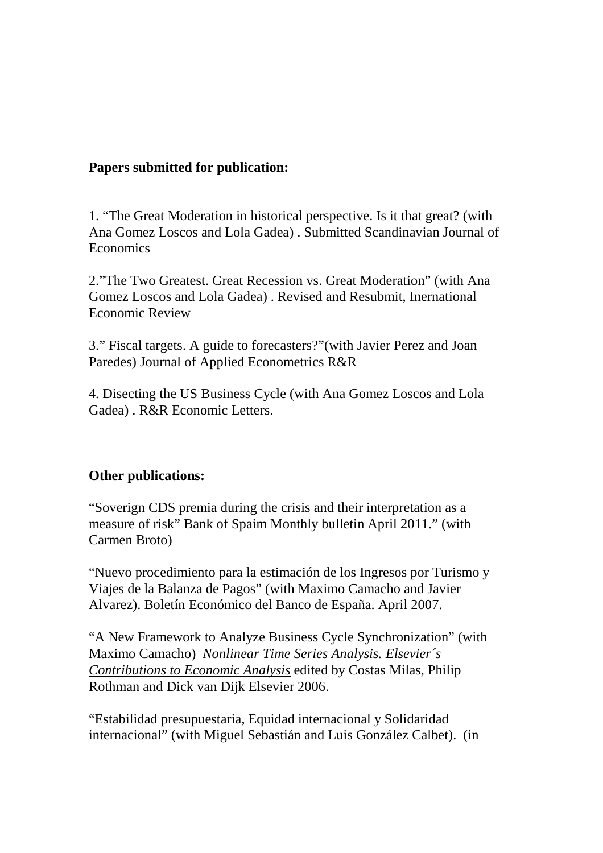### **Papers submitted for publication:**

1. "The Great Moderation in historical perspective. Is it that great? (with Ana Gomez Loscos and Lola Gadea) . Submitted Scandinavian Journal of Economics

2."The Two Greatest. Great Recession vs. Great Moderation" (with Ana Gomez Loscos and Lola Gadea) . Revised and Resubmit, Inernational Economic Review

3." Fiscal targets. A guide to forecasters?"(with Javier Perez and Joan Paredes) Journal of Applied Econometrics R&R

4. Disecting the US Business Cycle (with Ana Gomez Loscos and Lola Gadea) . R&R Economic Letters.

### **Other publications:**

"Soverign CDS premia during the crisis and their interpretation as a measure of risk" Bank of Spaim Monthly bulletin April 2011." (with Carmen Broto)

"Nuevo procedimiento para la estimación de los Ingresos por Turismo y Viajes de la Balanza de Pagos" (with Maximo Camacho and Javier Alvarez). Boletín Económico del Banco de España. April 2007.

"A New Framework to Analyze Business Cycle Synchronization" (with Maximo Camacho) *Nonlinear Time Series Analysis. Elsevier´s Contributions to Economic Analysis* edited by Costas Milas, Philip Rothman and Dick van Dijk Elsevier 2006.

"Estabilidad presupuestaria, Equidad internacional y Solidaridad internacional" (with Miguel Sebastián and Luis González Calbet). (in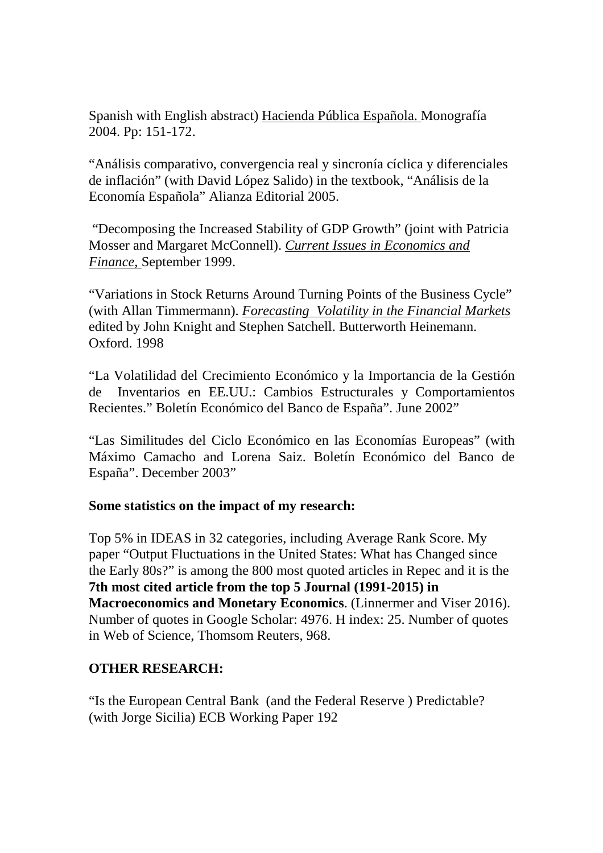Spanish with English abstract) Hacienda Pública Española. Monografía 2004. Pp: 151-172.

"Análisis comparativo, convergencia real y sincronía cíclica y diferenciales de inflación" (with David López Salido) in the textbook, "Análisis de la Economía Española" Alianza Editorial 2005.

 "Decomposing the Increased Stability of GDP Growth" (joint with Patricia Mosser and Margaret McConnell). *Current Issues in Economics and Finance,* September 1999.

"Variations in Stock Returns Around Turning Points of the Business Cycle" (with Allan Timmermann). *Forecasting Volatility in the Financial Markets* edited by John Knight and Stephen Satchell. Butterworth Heinemann. Oxford. 1998

"La Volatilidad del Crecimiento Económico y la Importancia de la Gestión de Inventarios en EE.UU.: Cambios Estructurales y Comportamientos Recientes." Boletín Económico del Banco de España". June 2002"

"Las Similitudes del Ciclo Económico en las Economías Europeas" (with Máximo Camacho and Lorena Saiz. Boletín Económico del Banco de España". December 2003"

### **Some statistics on the impact of my research:**

Top 5% in IDEAS in 32 categories, including Average Rank Score. My paper "Output Fluctuations in the United States: What has Changed since the Early 80s?" is among the 800 most quoted articles in Repec and it is the **7th most cited article from the top 5 Journal (1991-2015) in Macroeconomics and Monetary Economics**. (Linnermer and Viser 2016). Number of quotes in Google Scholar: 4976. H index: 25. Number of quotes in Web of Science, Thomsom Reuters, 968.

### **OTHER RESEARCH:**

"Is the European Central Bank (and the Federal Reserve ) Predictable? (with Jorge Sicilia) ECB Working Paper 192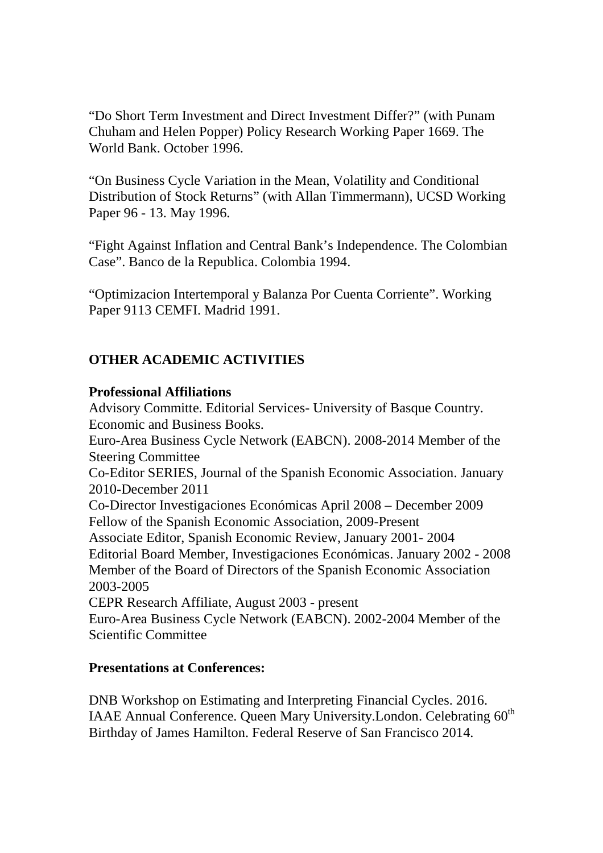"Do Short Term Investment and Direct Investment Differ?" (with Punam Chuham and Helen Popper) Policy Research Working Paper 1669. The World Bank. October 1996.

"On Business Cycle Variation in the Mean, Volatility and Conditional Distribution of Stock Returns" (with Allan Timmermann), UCSD Working Paper 96 - 13. May 1996.

"Fight Against Inflation and Central Bank's Independence. The Colombian Case". Banco de la Republica. Colombia 1994.

"Optimizacion Intertemporal y Balanza Por Cuenta Corriente". Working Paper 9113 CEMFI. Madrid 1991.

# **OTHER ACADEMIC ACTIVITIES**

#### **Professional Affiliations**

Advisory Committe. Editorial Services- University of Basque Country. Economic and Business Books. Euro-Area Business Cycle Network (EABCN). 2008-2014 Member of the Steering Committee Co-Editor SERIES, Journal of the Spanish Economic Association. January 2010-December 2011 Co-Director Investigaciones Económicas April 2008 – December 2009 Fellow of the Spanish Economic Association, 2009-Present Associate Editor, Spanish Economic Review, January 2001- 2004 Editorial Board Member, Investigaciones Económicas. January 2002 - 2008 Member of the Board of Directors of the Spanish Economic Association 2003-2005 CEPR Research Affiliate, August 2003 - present Euro-Area Business Cycle Network (EABCN). 2002-2004 Member of the Scientific Committee

### **Presentations at Conferences:**

DNB Workshop on Estimating and Interpreting Financial Cycles. 2016. IAAE Annual Conference. Queen Mary University.London. Celebrating 60<sup>th</sup> Birthday of James Hamilton. Federal Reserve of San Francisco 2014.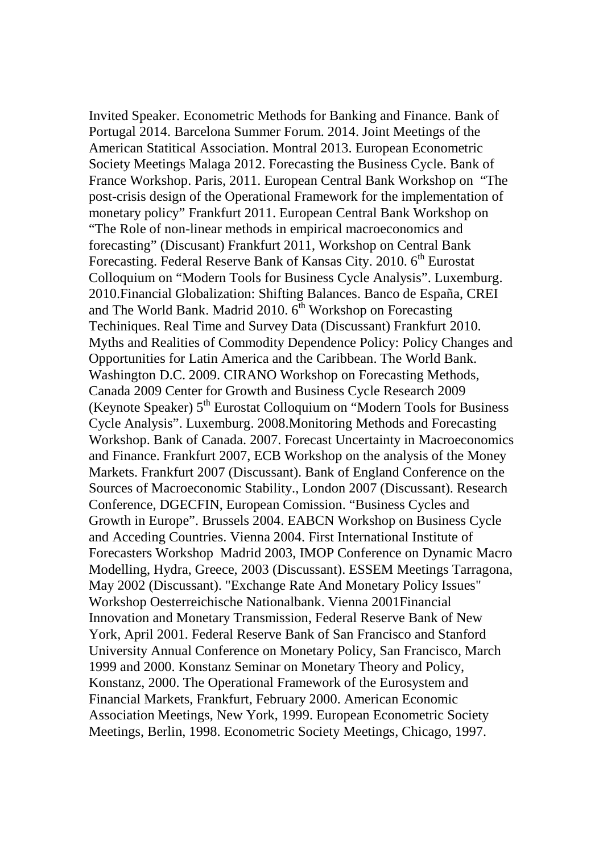Invited Speaker. Econometric Methods for Banking and Finance. Bank of Portugal 2014. Barcelona Summer Forum. 2014. Joint Meetings of the American Statitical Association. Montral 2013. European Econometric Society Meetings Malaga 2012. Forecasting the Business Cycle. Bank of France Workshop. Paris, 2011. European Central Bank Workshop on "The post-crisis design of the Operational Framework for the implementation of monetary policy" Frankfurt 2011. European Central Bank Workshop on "The Role of non-linear methods in empirical macroeconomics and forecasting" (Discusant) Frankfurt 2011, Workshop on Central Bank Forecasting. Federal Reserve Bank of Kansas City. 2010. 6<sup>th</sup> Eurostat Colloquium on "Modern Tools for Business Cycle Analysis". Luxemburg. 2010.Financial Globalization: Shifting Balances. Banco de España, CREI and The World Bank. Madrid 2010.  $6<sup>th</sup>$  Workshop on Forecasting Techiniques. Real Time and Survey Data (Discussant) Frankfurt 2010. Myths and Realities of Commodity Dependence Policy: Policy Changes and Opportunities for Latin America and the Caribbean. The World Bank. Washington D.C. 2009. CIRANO Workshop on Forecasting Methods, Canada 2009 Center for Growth and Business Cycle Research 2009 (Keynote Speaker) 5<sup>th</sup> Eurostat Colloquium on "Modern Tools for Business Cycle Analysis". Luxemburg. 2008.Monitoring Methods and Forecasting Workshop. Bank of Canada. 2007. Forecast Uncertainty in Macroeconomics and Finance. Frankfurt 2007, ECB Workshop on the analysis of the Money Markets. Frankfurt 2007 (Discussant). Bank of England Conference on the Sources of Macroeconomic Stability., London 2007 (Discussant). Research Conference, DGECFIN, European Comission. "Business Cycles and Growth in Europe". Brussels 2004. EABCN Workshop on Business Cycle and Acceding Countries. Vienna 2004. First International Institute of Forecasters Workshop Madrid 2003, IMOP Conference on Dynamic Macro Modelling, Hydra, Greece, 2003 (Discussant). ESSEM Meetings Tarragona, May 2002 (Discussant). "Exchange Rate And Monetary Policy Issues" Workshop Oesterreichische Nationalbank. Vienna 2001Financial Innovation and Monetary Transmission, Federal Reserve Bank of New York, April 2001. Federal Reserve Bank of San Francisco and Stanford University Annual Conference on Monetary Policy, San Francisco, March 1999 and 2000. Konstanz Seminar on Monetary Theory and Policy, Konstanz, 2000. The Operational Framework of the Eurosystem and Financial Markets, Frankfurt, February 2000. American Economic Association Meetings, New York, 1999. European Econometric Society Meetings, Berlin, 1998. Econometric Society Meetings, Chicago, 1997.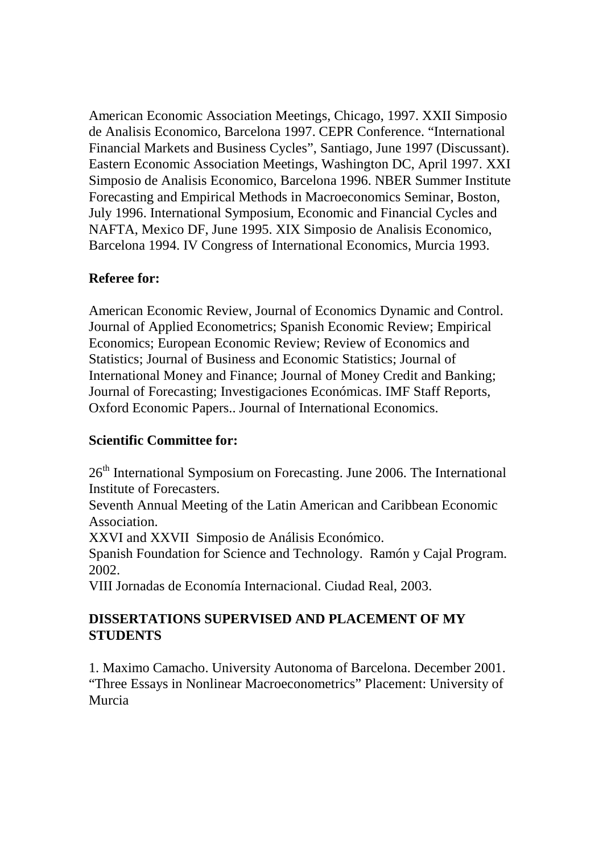American Economic Association Meetings, Chicago, 1997. XXII Simposio de Analisis Economico, Barcelona 1997. CEPR Conference. "International Financial Markets and Business Cycles", Santiago, June 1997 (Discussant). Eastern Economic Association Meetings, Washington DC, April 1997. XXI Simposio de Analisis Economico, Barcelona 1996. NBER Summer Institute Forecasting and Empirical Methods in Macroeconomics Seminar, Boston, July 1996. International Symposium, Economic and Financial Cycles and NAFTA, Mexico DF, June 1995. XIX Simposio de Analisis Economico, Barcelona 1994. IV Congress of International Economics, Murcia 1993.

## **Referee for:**

American Economic Review, Journal of Economics Dynamic and Control. Journal of Applied Econometrics; Spanish Economic Review; Empirical Economics; European Economic Review; Review of Economics and Statistics; Journal of Business and Economic Statistics; Journal of International Money and Finance; Journal of Money Credit and Banking; Journal of Forecasting; Investigaciones Económicas. IMF Staff Reports, Oxford Economic Papers.. Journal of International Economics.

### **Scientific Committee for:**

26<sup>th</sup> International Symposium on Forecasting. June 2006. The International Institute of Forecasters.

Seventh Annual Meeting of the Latin American and Caribbean Economic Association.

XXVI and XXVII Simposio de Análisis Económico.

Spanish Foundation for Science and Technology. Ramón y Cajal Program. 2002.

VIII Jornadas de Economía Internacional. Ciudad Real, 2003.

## **DISSERTATIONS SUPERVISED AND PLACEMENT OF MY STUDENTS**

1. Maximo Camacho. University Autonoma of Barcelona. December 2001. "Three Essays in Nonlinear Macroeconometrics" Placement: University of Murcia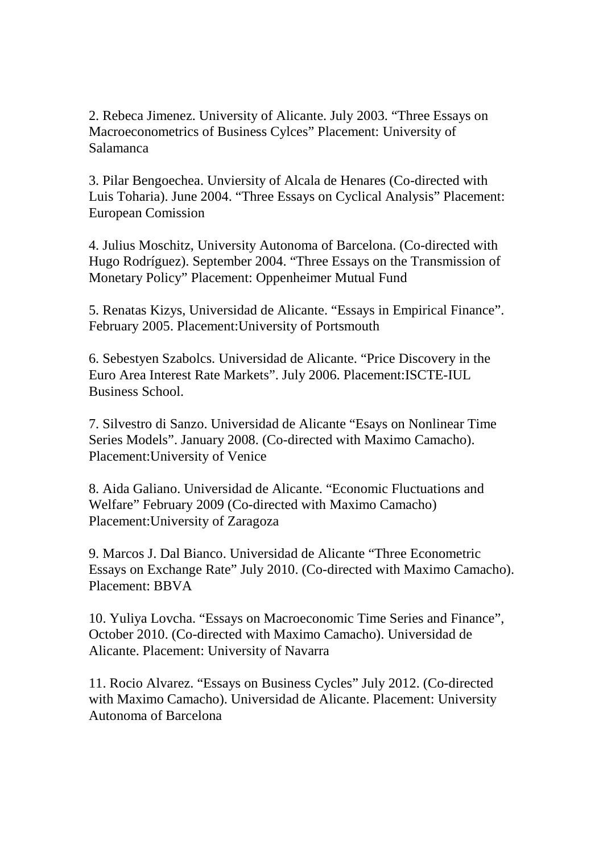2. Rebeca Jimenez. University of Alicante. July 2003. "Three Essays on Macroeconometrics of Business Cylces" Placement: University of Salamanca

3. Pilar Bengoechea. Unviersity of Alcala de Henares (Co-directed with Luis Toharia). June 2004. "Three Essays on Cyclical Analysis" Placement: European Comission

4. Julius Moschitz, University Autonoma of Barcelona. (Co-directed with Hugo Rodríguez). September 2004. "Three Essays on the Transmission of Monetary Policy" Placement: Oppenheimer Mutual Fund

5. Renatas Kizys, Universidad de Alicante. "Essays in Empirical Finance". February 2005. Placement:University of Portsmouth

6. Sebestyen Szabolcs. Universidad de Alicante. "Price Discovery in the Euro Area Interest Rate Markets". July 2006. Placement:ISCTE-IUL Business School.

7. Silvestro di Sanzo. Universidad de Alicante "Esays on Nonlinear Time Series Models". January 2008. (Co-directed with Maximo Camacho). Placement:University of Venice

8. Aida Galiano. Universidad de Alicante. "Economic Fluctuations and Welfare" February 2009 (Co-directed with Maximo Camacho) Placement:University of Zaragoza

9. Marcos J. Dal Bianco. Universidad de Alicante "Three Econometric Essays on Exchange Rate" July 2010. (Co-directed with Maximo Camacho). Placement: BBVA

10. Yuliya Lovcha. "Essays on Macroeconomic Time Series and Finance", October 2010. (Co-directed with Maximo Camacho). Universidad de Alicante. Placement: University of Navarra

11. Rocio Alvarez. "Essays on Business Cycles" July 2012. (Co-directed with Maximo Camacho). Universidad de Alicante. Placement: University Autonoma of Barcelona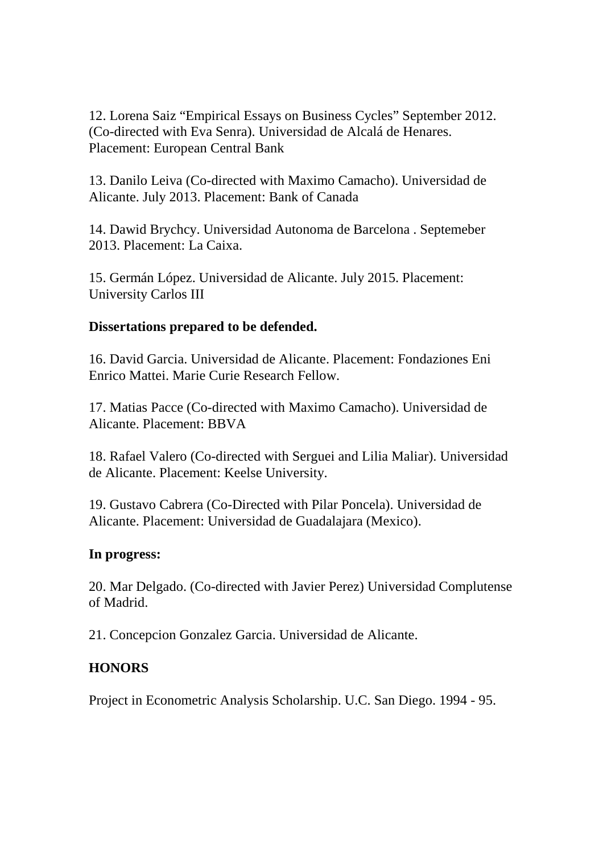12. Lorena Saiz "Empirical Essays on Business Cycles" September 2012. (Co-directed with Eva Senra). Universidad de Alcalá de Henares. Placement: European Central Bank

13. Danilo Leiva (Co-directed with Maximo Camacho). Universidad de Alicante. July 2013. Placement: Bank of Canada

14. Dawid Brychcy. Universidad Autonoma de Barcelona . Septemeber 2013. Placement: La Caixa.

15. Germán López. Universidad de Alicante. July 2015. Placement: University Carlos III

## **Dissertations prepared to be defended.**

16. David Garcia. Universidad de Alicante. Placement: Fondaziones Eni Enrico Mattei. Marie Curie Research Fellow.

17. Matias Pacce (Co-directed with Maximo Camacho). Universidad de Alicante. Placement: BBVA

18. Rafael Valero (Co-directed with Serguei and Lilia Maliar). Universidad de Alicante. Placement: Keelse University.

19. Gustavo Cabrera (Co-Directed with Pilar Poncela). Universidad de Alicante. Placement: Universidad de Guadalajara (Mexico).

### **In progress:**

20. Mar Delgado. (Co-directed with Javier Perez) Universidad Complutense of Madrid.

21. Concepcion Gonzalez Garcia. Universidad de Alicante.

# **HONORS**

Project in Econometric Analysis Scholarship. U.C. San Diego. 1994 - 95.